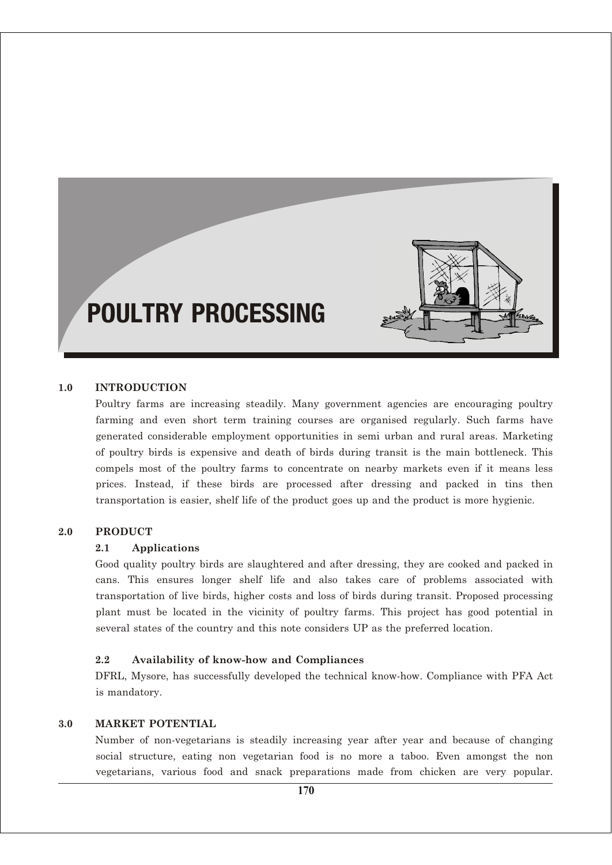# POULTRY PROCESSING

#### **1.0 INTRODUCTION**

Poultry farms are increasing steadily. Many government agencies are encouraging poultry farming and even short term training courses are organised regularly. Such farms have generated considerable employment opportunities in semi urban and rural areas. Marketing of poultry birds is expensive and death of birds during transit is the main bottleneck. This compels most of the poultry farms to concentrate on nearby markets even if it means less prices. Instead, if these birds are processed after dressing and packed in tins then transportation is easier, shelf life of the product goes up and the product is more hygienic.

#### **2.0 PRODUCT**

#### **2.1 Applications**

Good quality poultry birds are slaughtered and after dressing, they are cooked and packed in cans. This ensures longer shelf life and also takes care of problems associated with transportation of live birds, higher costs and loss of birds during transit. Proposed processing plant must be located in the vicinity of poultry farms. This project has good potential in several states of the country and this note considers UP as the preferred location.

#### **2.2 Availability of know-how and Compliances**

DFRL, Mysore, has successfully developed the technical know-how. Compliance with PFA Act is mandatory.

#### **3.0 MARKET POTENTIAL**

Number of non-vegetarians is steadily increasing year after year and because of changing social structure, eating non vegetarian food is no more a taboo. Even amongst the non vegetarians, various food and snack preparations made from chicken are very popular.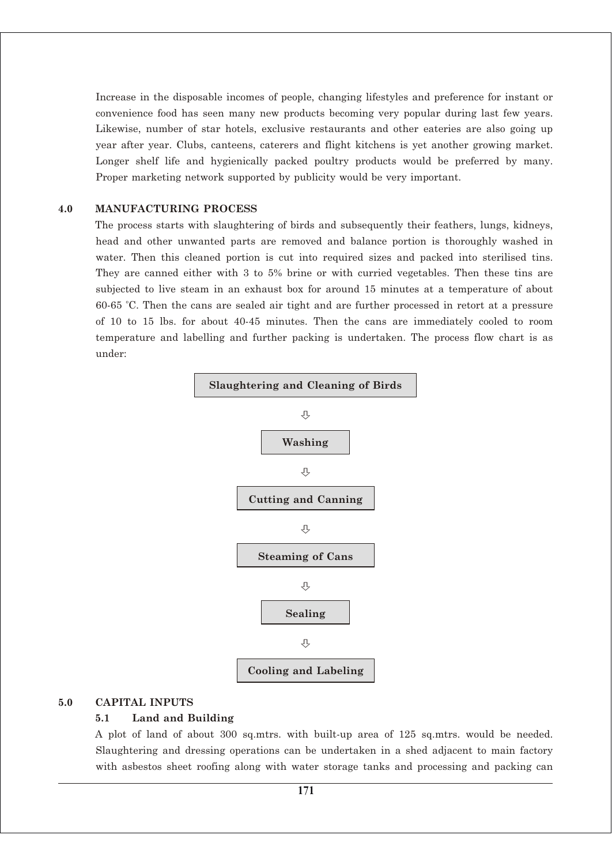Increase in the disposable incomes of people, changing lifestyles and preference for instant or convenience food has seen many new products becoming very popular during last few years. Likewise, number of star hotels, exclusive restaurants and other eateries are also going up year after year. Clubs, canteens, caterers and flight kitchens is yet another growing market. Longer shelf life and hygienically packed poultry products would be preferred by many. Proper marketing network supported by publicity would be very important.

#### **4.0 MANUFACTURING PROCESS**

The process starts with slaughtering of birds and subsequently their feathers, lungs, kidneys, head and other unwanted parts are removed and balance portion is thoroughly washed in water. Then this cleaned portion is cut into required sizes and packed into sterilised tins. They are canned either with 3 to 5% brine or with curried vegetables. Then these tins are subjected to live steam in an exhaust box for around 15 minutes at a temperature of about 60-65 °C. Then the cans are sealed air tight and are further processed in retort at a pressure of 10 to 15 lbs. for about 40-45 minutes. Then the cans are immediately cooled to room temperature and labelling and further packing is undertaken. The process flow chart is as under:



#### **5.0 CAPITAL INPUTS**

#### **5.1 Land and Building**

A plot of land of about 300 sq.mtrs. with built-up area of 125 sq.mtrs. would be needed. Slaughtering and dressing operations can be undertaken in a shed adjacent to main factory with asbestos sheet roofing along with water storage tanks and processing and packing can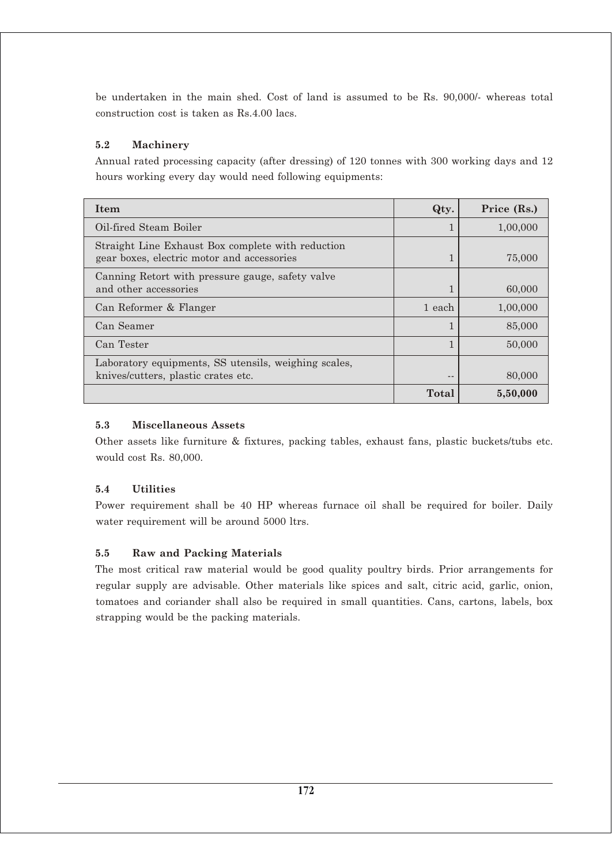be undertaken in the main shed. Cost of land is assumed to be Rs. 90,000/- whereas total construction cost is taken as Rs.4.00 lacs.

# **5.2 Machinery**

Annual rated processing capacity (after dressing) of 120 tonnes with 300 working days and 12 hours working every day would need following equipments:

| <b>Item</b>                                                                                     | Qty.         | Price (Rs.) |
|-------------------------------------------------------------------------------------------------|--------------|-------------|
| Oil-fired Steam Boiler                                                                          |              | 1,00,000    |
| Straight Line Exhaust Box complete with reduction<br>gear boxes, electric motor and accessories |              | 75,000      |
| Canning Retort with pressure gauge, safety valve<br>and other accessories                       |              | 60,000      |
| Can Reformer & Flanger                                                                          | 1 each       | 1,00,000    |
| Can Seamer                                                                                      |              | 85,000      |
| Can Tester                                                                                      |              | 50,000      |
| Laboratory equipments, SS utensils, weighing scales,<br>knives/cutters, plastic crates etc.     |              | 80,000      |
|                                                                                                 | <b>Total</b> | 5,50,000    |

# **5.3 Miscellaneous Assets**

Other assets like furniture & fixtures, packing tables, exhaust fans, plastic buckets/tubs etc. would cost Rs. 80,000.

# **5.4 Utilities**

Power requirement shall be 40 HP whereas furnace oil shall be required for boiler. Daily water requirement will be around 5000 ltrs.

# **5.5 Raw and Packing Materials**

The most critical raw material would be good quality poultry birds. Prior arrangements for regular supply are advisable. Other materials like spices and salt, citric acid, garlic, onion, tomatoes and coriander shall also be required in small quantities. Cans, cartons, labels, box strapping would be the packing materials.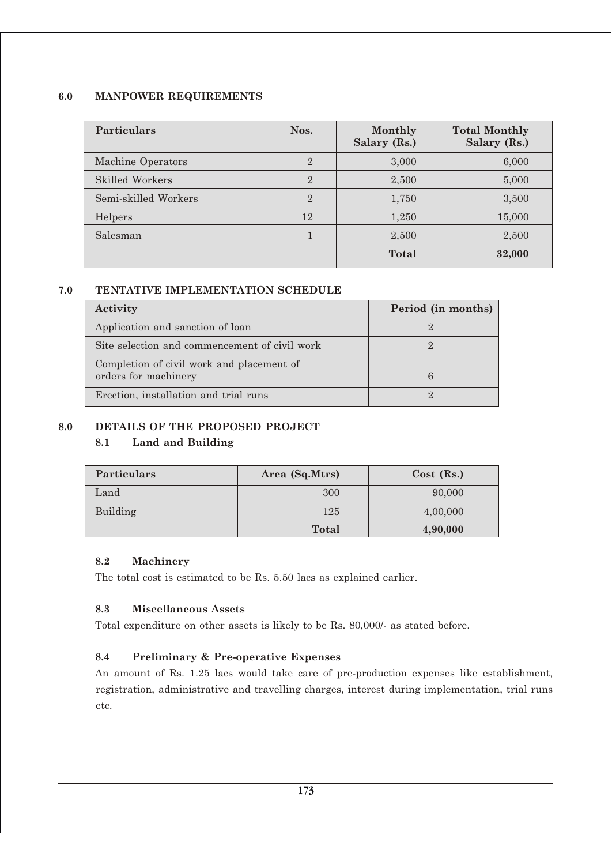#### **6.0 MANPOWER REQUIREMENTS**

| <b>Particulars</b>   | Nos.           | Monthly<br>Salary (Rs.) | <b>Total Monthly</b><br>Salary (Rs.) |
|----------------------|----------------|-------------------------|--------------------------------------|
| Machine Operators    | $\overline{2}$ | 3,000                   | 6,000                                |
| Skilled Workers      | $\overline{2}$ | 2,500                   | 5,000                                |
| Semi-skilled Workers | $\overline{2}$ | 1,750                   | 3,500                                |
| Helpers              | 12             | 1,250                   | 15,000                               |
| Salesman             |                | 2,500                   | 2,500                                |
|                      |                | Total                   | 32,000                               |

#### **7.0 TENTATIVE IMPLEMENTATION SCHEDULE**

| Activity                                      | Period (in months) |
|-----------------------------------------------|--------------------|
| Application and sanction of loan              |                    |
| Site selection and commencement of civil work |                    |
| Completion of civil work and placement of     |                    |
| orders for machinery                          | 6                  |
| Erection, installation and trial runs         |                    |

# **8.0 DETAILS OF THE PROPOSED PROJECT**

#### **8.1 Land and Building**

| <b>Particulars</b> | Area (Sq.Mtrs) | $Cost$ (Rs.) |
|--------------------|----------------|--------------|
| Land               | 300            | 90,000       |
| Building           | 125            | 4,00,000     |
|                    | <b>Total</b>   | 4,90,000     |

#### **8.2 Machinery**

The total cost is estimated to be Rs. 5.50 lacs as explained earlier.

#### **8.3 Miscellaneous Assets**

Total expenditure on other assets is likely to be Rs. 80,000/- as stated before.

#### **8.4 Preliminary & Pre-operative Expenses**

An amount of Rs. 1.25 lacs would take care of pre-production expenses like establishment, registration, administrative and travelling charges, interest during implementation, trial runs etc.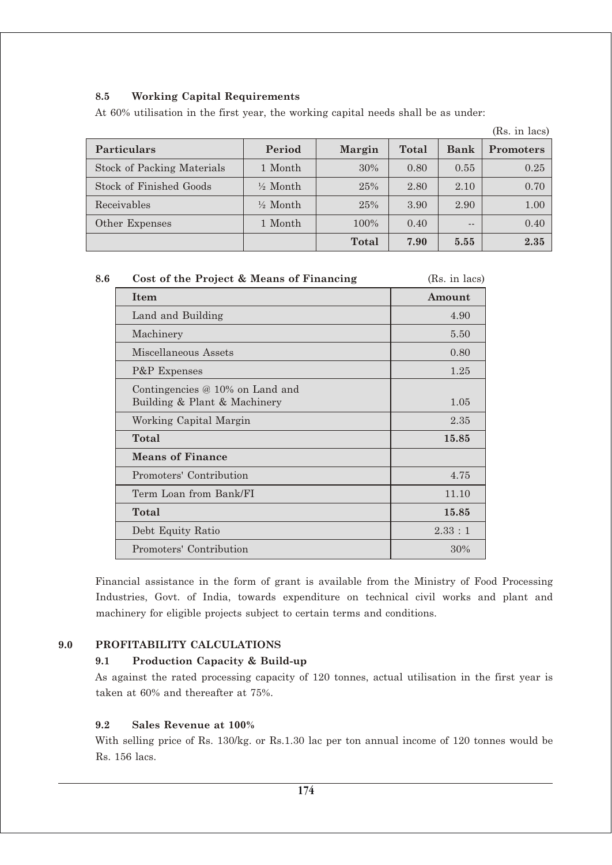# **8.5 Working Capital Requirements**

At 60% utilisation in the first year, the working capital needs shall be as under:

| <b>Particulars</b>                | Period              | <b>Margin</b> | Total | <b>Bank</b> | <b>Promoters</b> |
|-----------------------------------|---------------------|---------------|-------|-------------|------------------|
| <b>Stock of Packing Materials</b> | 1 Month             | 30%           | 0.80  | 0.55        | 0.25             |
| Stock of Finished Goods           | $\frac{1}{2}$ Month | 25%           | 2.80  | 2.10        | 0.70             |
| Receivables                       | $\frac{1}{2}$ Month | 25%           | 3.90  | 2.90        | 1.00             |
| Other Expenses                    | 1 Month             | 100%          | 0.40  | $- -$       | 0.40             |
|                                   |                     | Total         | 7.90  | 5.55        | 2.35             |

(Rs. in lacs)

| (Rs. in lacs) |
|---------------|
| Amount        |
| 4.90          |
| 5.50          |
| 0.80          |
| 1.25          |
| 1.05          |
| 2.35          |
| 15.85         |
|               |
| 4.75          |
| 11.10         |
| 15.85         |
| 2.33:1        |
| 30%           |
|               |

Financial assistance in the form of grant is available from the Ministry of Food Processing Industries, Govt. of India, towards expenditure on technical civil works and plant and machinery for eligible projects subject to certain terms and conditions.

# **9.0 PROFITABILITY CALCULATIONS**

**9.1 Production Capacity & Build-up**

As against the rated processing capacity of 120 tonnes, actual utilisation in the first year is taken at 60% and thereafter at 75%.

# **9.2 Sales Revenue at 100%**

With selling price of Rs. 130/kg. or Rs.1.30 lac per ton annual income of 120 tonnes would be Rs. 156 lacs.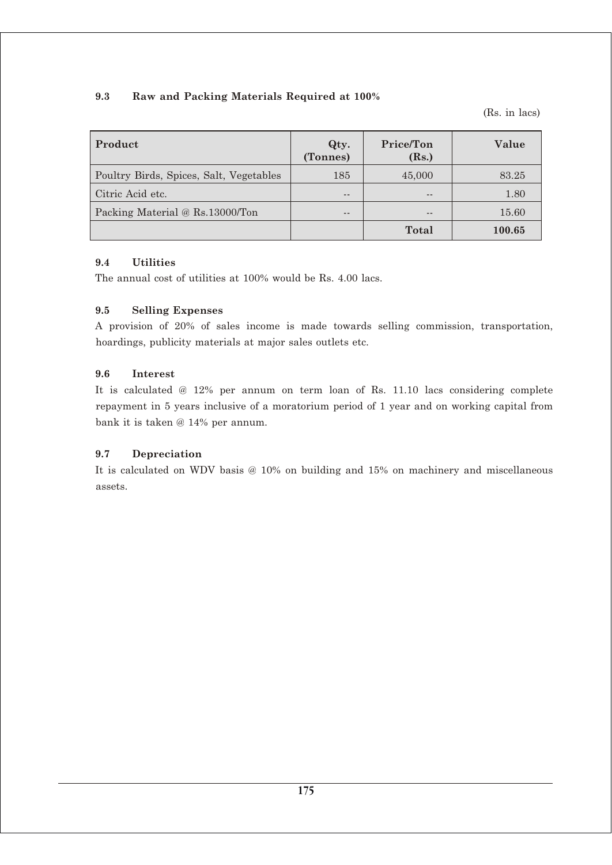# **9.3 Raw and Packing Materials Required at 100%**

(Rs. in lacs)

| Product                                 | Qty.<br>(Tonnes) | Price/Ton<br>(Rs.) | Value  |
|-----------------------------------------|------------------|--------------------|--------|
| Poultry Birds, Spices, Salt, Vegetables | 185              | 45,000             | 83.25  |
| Citric Acid etc.                        | $- -$            | --                 | 1.80   |
| Packing Material @ Rs.13000/Ton         | $- -$            | $- -$              | 15.60  |
|                                         |                  | <b>Total</b>       | 100.65 |

#### **9.4 Utilities**

The annual cost of utilities at 100% would be Rs. 4.00 lacs.

# **9.5 Selling Expenses**

A provision of 20% of sales income is made towards selling commission, transportation, hoardings, publicity materials at major sales outlets etc.

#### **9.6 Interest**

It is calculated @ 12% per annum on term loan of Rs. 11.10 lacs considering complete repayment in 5 years inclusive of a moratorium period of 1 year and on working capital from bank it is taken @ 14% per annum.

# **9.7 Depreciation**

It is calculated on WDV basis @ 10% on building and 15% on machinery and miscellaneous assets.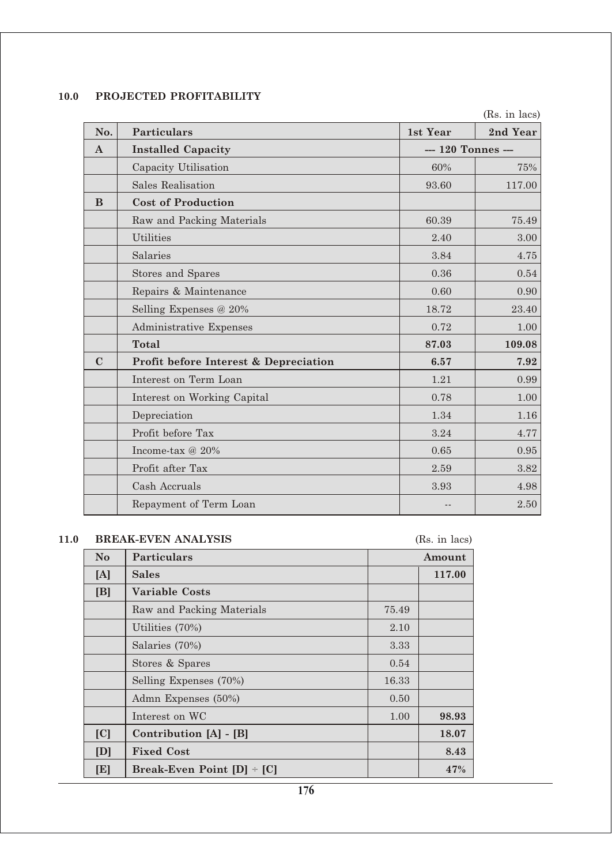# **10.0 PROJECTED PROFITABILITY**

(Rs. in lacs)

| No.          | <b>Particulars</b>                    | 1st Year           | 2nd Year |
|--------------|---------------------------------------|--------------------|----------|
| $\mathbf{A}$ | <b>Installed Capacity</b>             | --- 120 Tonnes --- |          |
|              | Capacity Utilisation                  | 60%                | 75%      |
|              | <b>Sales Realisation</b>              | 93.60              | 117.00   |
| B            | <b>Cost of Production</b>             |                    |          |
|              | Raw and Packing Materials             | 60.39              | 75.49    |
|              | <b>Utilities</b>                      | 2.40               | 3.00     |
|              | Salaries                              | 3.84               | 4.75     |
|              | Stores and Spares                     | 0.36               | 0.54     |
|              | Repairs & Maintenance                 | 0.60               | 0.90     |
|              | Selling Expenses @ 20%                | 18.72              | 23.40    |
|              | Administrative Expenses               | 0.72               | 1.00     |
|              | <b>Total</b>                          | 87.03              | 109.08   |
| $\mathbf C$  | Profit before Interest & Depreciation | 6.57               | 7.92     |
|              | Interest on Term Loan                 | 1.21               | 0.99     |
|              | Interest on Working Capital           | 0.78               | 1.00     |
|              | Depreciation                          | 1.34               | 1.16     |
|              | Profit before Tax                     | 3.24               | 4.77     |
|              | Income-tax @ 20%                      | 0.65               | 0.95     |
|              | Profit after Tax                      | 2.59               | 3.82     |
|              | Cash Accruals                         | 3.93               | 4.98     |
|              | Repayment of Term Loan                | $ -$               | 2.50     |

# **11.0 BREAK-EVEN ANALYSIS** (Rs. in lacs)

| N <sub>o</sub> | <b>Particulars</b>             |       | Amount |
|----------------|--------------------------------|-------|--------|
| [A]            | <b>Sales</b>                   |       | 117.00 |
| [B]            | <b>Variable Costs</b>          |       |        |
|                | Raw and Packing Materials      | 75.49 |        |
|                | Utilities $(70\%)$             | 2.10  |        |
|                | Salaries (70%)                 | 3.33  |        |
|                | Stores & Spares                | 0.54  |        |
|                | Selling Expenses (70%)         | 16.33 |        |
|                | Admn Expenses (50%)            | 0.50  |        |
|                | Interest on WC                 | 1.00  | 98.93  |
| C              | Contribution [A] - [B]         |       | 18.07  |
| [D]            | <b>Fixed Cost</b>              |       | 8.43   |
| [E]            | Break-Even Point $[D]$ + $[C]$ |       | 47%    |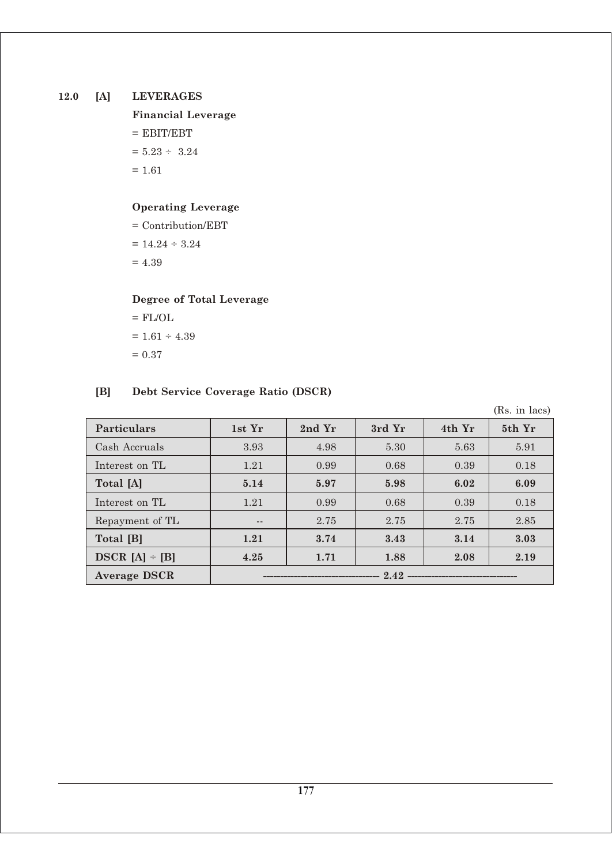# **12.0 [A] LEVERAGES**

# **Financial Leverage**  $=$  EBIT/EBT  $= 5.23 \div 3.24$  $= 1.61$

# **Operating Leverage**

= Contribution/EBT  $= 14.24 \div 3.24$  $= 4.39$ 

# **Degree of Total Leverage**

 $=$  FL/OL  $= 1.61 \div 4.39$  $= 0.37$ 

# **[B] Debt Service Coverage Ratio (DSCR)**

(Rs. in lacs)

| <b>Particulars</b>  | 1st Yr | 2nd Yr | 3rd Yr | 4th Yr | 5th Yr |
|---------------------|--------|--------|--------|--------|--------|
| Cash Accruals       | 3.93   | 4.98   | 5.30   | 5.63   | 5.91   |
| Interest on TL      | 1.21   | 0.99   | 0.68   | 0.39   | 0.18   |
| Total [A]           | 5.14   | 5.97   | 5.98   | 6.02   | 6.09   |
| Interest on TL      | 1.21   | 0.99   | 0.68   | 0.39   | 0.18   |
| Repayment of TL     | $- -$  | 2.75   | 2.75   | 2.75   | 2.85   |
| Total [B]           | 1.21   | 3.74   | 3.43   | 3.14   | 3.03   |
| $DSCR [A] \div [B]$ | 4.25   | 1.71   | 1.88   | 2.08   | 2.19   |
| <b>Average DSCR</b> | 2.42   |        |        |        |        |